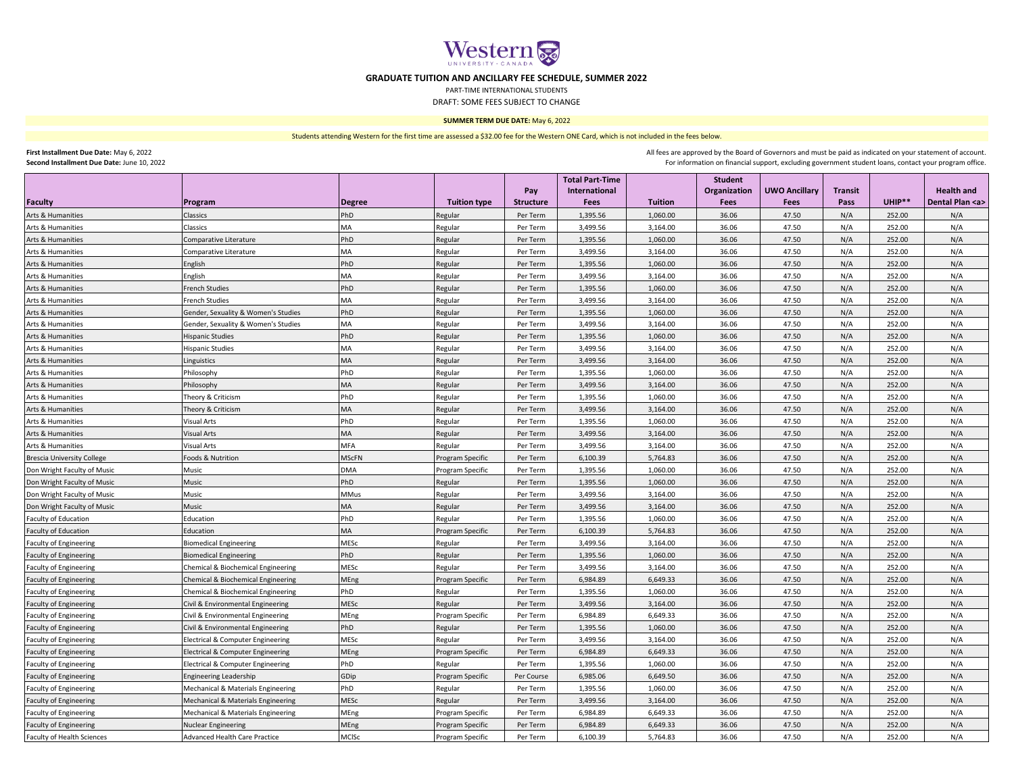

## **GRADUATE TUITION AND ANCILLARY FEE SCHEDULE, SUMMER 2022**

PART-TIME INTERNATIONAL STUDENTS

DRAFT: SOME FEES SUBJECT TO CHANGE

## **SUMMER TERM DUE DATE:** May 6, 2022

Students attending Western for the first time are assessed a \$32.00 fee for the Western ONE Card, which is not included in the fees below.

| First Installment Due Date: May 6, 2022 |  |
|-----------------------------------------|--|
|                                         |  |

**Second Installment Due Date:** June 10, 2022

All fees are approved by the Board of Governors and must be paid as indicated on your statement of account. For information on financial support, excluding government student loans, contact your program office.

|                                   |                                     |               |                     |                  | <b>Total Part-Time</b> |                | <b>Student</b> |                      |                |        |                     |
|-----------------------------------|-------------------------------------|---------------|---------------------|------------------|------------------------|----------------|----------------|----------------------|----------------|--------|---------------------|
|                                   |                                     |               |                     | Pay              | International          |                | Organization   | <b>UWO Ancillary</b> | <b>Transit</b> |        | <b>Health and</b>   |
| <b>Faculty</b>                    | Program                             | <b>Degree</b> | <b>Tuition type</b> | <b>Structure</b> | <b>Fees</b>            | <b>Tuition</b> | Fees           | Fees                 | Pass           | UHIP** | Dental Plan <a></a> |
| Arts & Humanities                 | Classics                            | PhD           | Regular             | Per Term         | 1,395.56               | 1,060.00       | 36.06          | 47.50                | N/A            | 252.00 | N/A                 |
| Arts & Humanities                 | Classics                            | <b>MA</b>     | Regular             | Per Term         | 3,499.56               | 3,164.00       | 36.06          | 47.50                | N/A            | 252.00 | N/A                 |
| Arts & Humanities                 | Comparative Literature              | PhD           | Regular             | Per Term         | 1,395.56               | 1,060.00       | 36.06          | 47.50                | N/A            | 252.00 | N/A                 |
| Arts & Humanities                 | Comparative Literature              | MA            | Regular             | Per Term         | 3,499.56               | 3,164.00       | 36.06          | 47.50                | N/A            | 252.00 | N/A                 |
| Arts & Humanities                 | English                             | PhD           | Regular             | Per Term         | 1,395.56               | 1,060.00       | 36.06          | 47.50                | N/A            | 252.00 | N/A                 |
| Arts & Humanities                 | English                             | MA            | Regular             | Per Term         | 3,499.56               | 3,164.00       | 36.06          | 47.50                | N/A            | 252.00 | N/A                 |
| Arts & Humanities                 | <b>French Studies</b>               | PhD           | Regular             | Per Term         | 1,395.56               | 1,060.00       | 36.06          | 47.50                | N/A            | 252.00 | N/A                 |
| Arts & Humanities                 | <b>French Studies</b>               | MA            | Regular             | Per Term         | 3,499.56               | 3,164.00       | 36.06          | 47.50                | N/A            | 252.00 | N/A                 |
| Arts & Humanities                 | Gender, Sexuality & Women's Studies | PhD           | Regular             | Per Term         | 1,395.56               | 1,060.00       | 36.06          | 47.50                | N/A            | 252.00 | N/A                 |
| Arts & Humanities                 | Gender, Sexuality & Women's Studies | <b>MA</b>     | Regular             | Per Term         | 3,499.56               | 3,164.00       | 36.06          | 47.50                | N/A            | 252.00 | N/A                 |
| Arts & Humanities                 | <b>Hispanic Studies</b>             | PhD           | Regular             | Per Term         | 1,395.56               | 1,060.00       | 36.06          | 47.50                | N/A            | 252.00 | N/A                 |
| Arts & Humanities                 | <b>Hispanic Studies</b>             | <b>MA</b>     | Regular             | Per Term         | 3,499.56               | 3,164.00       | 36.06          | 47.50                | N/A            | 252.00 | N/A                 |
| Arts & Humanities                 | Linguistics                         | MA            | Regular             | Per Term         | 3,499.56               | 3,164.00       | 36.06          | 47.50                | N/A            | 252.00 | N/A                 |
| Arts & Humanities                 | Philosophy                          | PhD           | Regular             | Per Term         | 1,395.56               | 1,060.00       | 36.06          | 47.50                | N/A            | 252.00 | N/A                 |
| Arts & Humanities                 | Philosophy                          | MA            | Regular             | Per Term         | 3,499.56               | 3,164.00       | 36.06          | 47.50                | N/A            | 252.00 | N/A                 |
| Arts & Humanities                 | Theory & Criticism                  | PhD           | Regular             | Per Term         | 1,395.56               | 1,060.00       | 36.06          | 47.50                | N/A            | 252.00 | N/A                 |
| Arts & Humanities                 | Theory & Criticism                  | MA            | Regular             | Per Term         | 3,499.56               | 3,164.00       | 36.06          | 47.50                | N/A            | 252.00 | N/A                 |
| Arts & Humanities                 | <b>Visual Arts</b>                  | PhD           | Regular             | Per Term         | 1,395.56               | 1,060.00       | 36.06          | 47.50                | N/A            | 252.00 | N/A                 |
| Arts & Humanities                 | <b>Visual Arts</b>                  | MA            | Regular             | Per Term         | 3,499.56               | 3,164.00       | 36.06          | 47.50                | N/A            | 252.00 | N/A                 |
| Arts & Humanities                 | <b>Visual Arts</b>                  | MFA           | Regular             | Per Term         | 3,499.56               | 3,164.00       | 36.06          | 47.50                | N/A            | 252.00 | N/A                 |
| <b>Brescia University College</b> | Foods & Nutrition                   | <b>MScFN</b>  | Program Specific    | Per Term         | 6,100.39               | 5,764.83       | 36.06          | 47.50                | N/A            | 252.00 | N/A                 |
| Don Wright Faculty of Music       | Music                               | <b>DMA</b>    | Program Specific    | Per Term         | 1,395.56               | 1,060.00       | 36.06          | 47.50                | N/A            | 252.00 | N/A                 |
| Don Wright Faculty of Music       | Music                               | PhD           | Regular             | Per Term         | 1,395.56               | 1,060.00       | 36.06          | 47.50                | N/A            | 252.00 | N/A                 |
| Don Wright Faculty of Music       | Music                               | MMus          | Regular             | Per Term         | 3,499.56               | 3,164.00       | 36.06          | 47.50                | N/A            | 252.00 | N/A                 |
| Don Wright Faculty of Music       | Music                               | MA            | Regular             | Per Term         | 3,499.56               | 3,164.00       | 36.06          | 47.50                | N/A            | 252.00 | N/A                 |
| Faculty of Education              | Education                           | PhD           | Regular             | Per Term         | 1,395.56               | 1,060.00       | 36.06          | 47.50                | N/A            | 252.00 | N/A                 |
| <b>Faculty of Education</b>       | Education                           | MA            | Program Specific    | Per Term         | 6,100.39               | 5,764.83       | 36.06          | 47.50                | N/A            | 252.00 | N/A                 |
| <b>Faculty of Engineering</b>     | <b>Biomedical Engineering</b>       | MESc          | Regular             | Per Term         | 3,499.56               | 3,164.00       | 36.06          | 47.50                | N/A            | 252.00 | N/A                 |
| <b>Faculty of Engineering</b>     | <b>Biomedical Engineering</b>       | PhD           | Regular             | Per Term         | 1,395.56               | 1,060.00       | 36.06          | 47.50                | N/A            | 252.00 | N/A                 |
| <b>Faculty of Engineering</b>     | Chemical & Biochemical Engineering  | MESc          | Regular             | Per Term         | 3,499.56               | 3,164.00       | 36.06          | 47.50                | N/A            | 252.00 | N/A                 |
| Faculty of Engineering            | Chemical & Biochemical Engineering  | MEng          | Program Specific    | Per Term         | 6,984.89               | 6,649.33       | 36.06          | 47.50                | N/A            | 252.00 | N/A                 |
| <b>Faculty of Engineering</b>     | Chemical & Biochemical Engineering  | PhD           | Regular             | Per Term         | 1,395.56               | 1,060.00       | 36.06          | 47.50                | N/A            | 252.00 | N/A                 |
| <b>Faculty of Engineering</b>     | Civil & Environmental Engineering   | <b>MESc</b>   | Regular             | Per Term         | 3,499.56               | 3,164.00       | 36.06          | 47.50                | N/A            | 252.00 | N/A                 |
| <b>Faculty of Engineering</b>     | Civil & Environmental Engineering   | MEng          | Program Specific    | Per Term         | 6,984.89               | 6,649.33       | 36.06          | 47.50                | N/A            | 252.00 | N/A                 |
| <b>Faculty of Engineering</b>     | Civil & Environmental Engineering   | PhD           | Regular             | Per Term         | 1,395.56               | 1,060.00       | 36.06          | 47.50                | N/A            | 252.00 | N/A                 |
| <b>Faculty of Engineering</b>     | Electrical & Computer Engineering   | <b>MESc</b>   | Regular             | Per Term         | 3,499.56               | 3,164.00       | 36.06          | 47.50                | N/A            | 252.00 | N/A                 |
| <b>Faculty of Engineering</b>     | Electrical & Computer Engineering   | MEng          | Program Specific    | Per Term         | 6,984.89               | 6,649.33       | 36.06          | 47.50                | N/A            | 252.00 | N/A                 |
| <b>Faculty of Engineering</b>     | Electrical & Computer Engineering   | PhD           | Regular             | Per Term         | 1,395.56               | 1,060.00       | 36.06          | 47.50                | N/A            | 252.00 | N/A                 |
| <b>Faculty of Engineering</b>     | <b>Engineering Leadership</b>       | GDip          | Program Specific    | Per Course       | 6,985.06               | 6,649.50       | 36.06          | 47.50                | N/A            | 252.00 | N/A                 |
| <b>Faculty of Engineering</b>     | Mechanical & Materials Engineering  | PhD           | Regular             | Per Term         | 1,395.56               | 1,060.00       | 36.06          | 47.50                | N/A            | 252.00 | N/A                 |
| <b>Faculty of Engineering</b>     | Mechanical & Materials Engineering  | <b>MESc</b>   | Regular             | Per Term         | 3,499.56               | 3,164.00       | 36.06          | 47.50                | N/A            | 252.00 | N/A                 |
| Faculty of Engineering            | Mechanical & Materials Engineering  | MEng          | Program Specific    | Per Term         | 6,984.89               | 6,649.33       | 36.06          | 47.50                | N/A            | 252.00 | N/A                 |
| <b>Faculty of Engineering</b>     | <b>Nuclear Engineering</b>          | <b>MEng</b>   | Program Specific    | Per Term         | 6,984.89               | 6,649.33       | 36.06          | 47.50                | N/A            | 252.00 | N/A                 |
| Faculty of Health Sciences        | Advanced Health Care Practice       | MCISc         | Program Specific    | Per Term         | 6,100.39               | 5,764.83       | 36.06          | 47.50                | N/A            | 252.00 | N/A                 |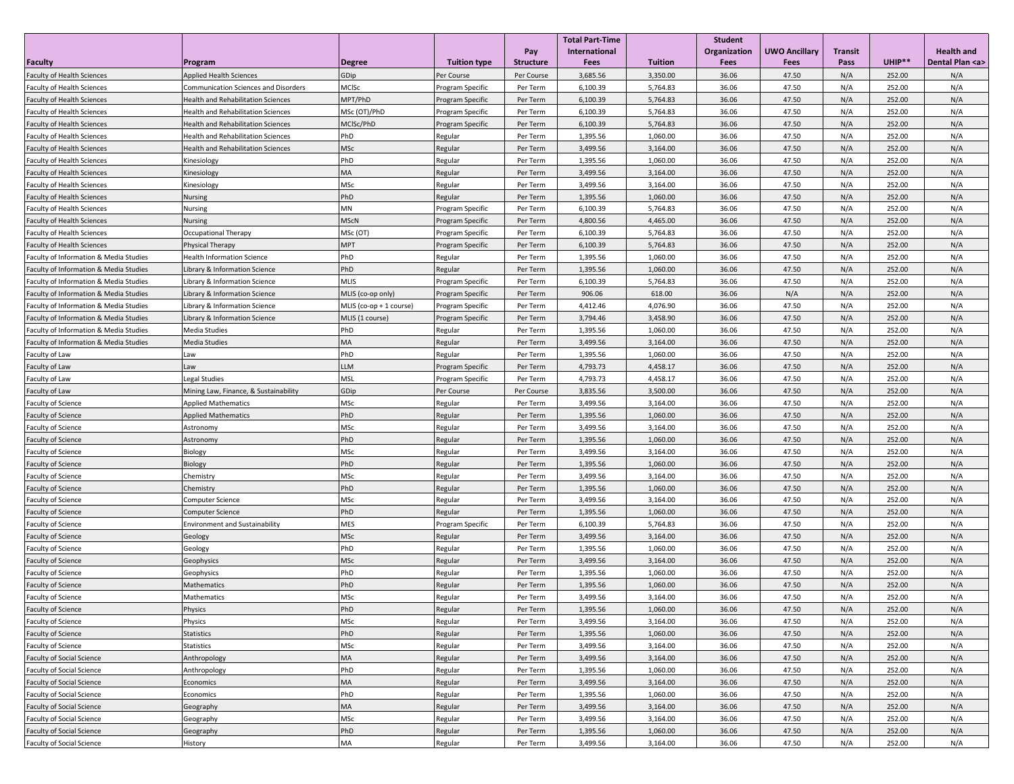|                                        |                                           |                         |                     |                  | <b>Total Part-Time</b> |                | <b>Student</b> |                      |                |                  |                     |
|----------------------------------------|-------------------------------------------|-------------------------|---------------------|------------------|------------------------|----------------|----------------|----------------------|----------------|------------------|---------------------|
|                                        |                                           |                         |                     | Pay              | International          |                | Organization   | <b>UWO Ancillary</b> | <b>Transit</b> |                  | <b>Health and</b>   |
| <b>Faculty</b>                         | Program                                   | <b>Degree</b>           | <b>Tuition type</b> | <b>Structure</b> | Fees                   | <b>Tuition</b> | Fees           | Fees                 | Pass           | UHIP**           | Dental Plan <a></a> |
| Faculty of Health Sciences             | <b>Applied Health Sciences</b>            | GDip                    | Per Course          | Per Course       | 3,685.56               | 3,350.00       | 36.06          | 47.50                | N/A            | 252.00           | N/A                 |
| <b>Faculty of Health Sciences</b>      | Communication Sciences and Disorders      | MCISc                   | Program Specific    | Per Term         | 6,100.39               | 5,764.83       | 36.06          | 47.50                | N/A            | 252.00           | N/A                 |
| <b>Faculty of Health Sciences</b>      | <b>Health and Rehabilitation Sciences</b> | MPT/PhD                 | Program Specific    | Per Term         | 6,100.39               | 5,764.83       | 36.06          | 47.50                | N/A            | 252.00           | N/A                 |
| <b>Faculty of Health Sciences</b>      | <b>Health and Rehabilitation Sciences</b> | MSc (OT)/PhD            | Program Specific    | Per Term         | 6,100.39               | 5,764.83       | 36.06          | 47.50                | N/A            | 252.00           | N/A                 |
| Faculty of Health Sciences             | Health and Rehabilitation Sciences        | MCISc/PhD               | Program Specific    | Per Term         | 6,100.39               | 5,764.83       | 36.06          | 47.50                | N/A            | 252.00           | N/A                 |
| Faculty of Health Sciences             | <b>Health and Rehabilitation Sciences</b> | PhD                     | Regular             | Per Term         | 1,395.56               | 1,060.00       | 36.06          | 47.50                | N/A            | 252.00           | N/A                 |
| <b>Faculty of Health Sciences</b>      | <b>Health and Rehabilitation Sciences</b> | <b>MSc</b>              | Regular             | Per Term         | 3,499.56               | 3,164.00       | 36.06          | 47.50                | N/A            | 252.00           | N/A                 |
| Faculty of Health Sciences             | Kinesiology                               | PhD                     | Regular             | Per Term         | 1,395.56               | 1,060.00       | 36.06          | 47.50                | N/A            | 252.00           | N/A                 |
| <b>Faculty of Health Sciences</b>      | Kinesiology                               | MA                      | Regular             | Per Term         | 3,499.56               | 3,164.00       | 36.06          | 47.50                | N/A            | 252.00           | N/A                 |
| <b>Faculty of Health Sciences</b>      | Kinesiology                               | MSc                     | Regular             | Per Term         | 3,499.56               | 3,164.00       | 36.06          | 47.50                | N/A            | 252.00           | N/A                 |
| Faculty of Health Sciences             | <b>Nursing</b>                            | PhD                     | Regular             | Per Term         | 1,395.56               | 1,060.00       | 36.06          | 47.50                | N/A            | 252.00           | N/A                 |
| <b>Faculty of Health Sciences</b>      | Nursing                                   | MN                      | Program Specific    | Per Term         | 6,100.39               | 5,764.83       | 36.06          | 47.50                | N/A            | 252.00           | N/A                 |
| Faculty of Health Sciences             | <b>Nursing</b>                            | <b>MScN</b>             | Program Specific    | Per Term         | 4,800.56               | 4,465.00       | 36.06          | 47.50                | N/A            | 252.00           | N/A                 |
| <b>Faculty of Health Sciences</b>      | Occupational Therapy                      | MSc (OT)                | Program Specific    | Per Term         | 6,100.39               | 5,764.83       | 36.06          | 47.50                | N/A            | 252.00           | N/A                 |
| <b>Faculty of Health Sciences</b>      | Physical Therapy                          | <b>MPT</b>              | Program Specific    | Per Term         | 6,100.39               | 5,764.83       | 36.06          | 47.50                | N/A            | 252.00           | N/A                 |
| Faculty of Information & Media Studies | <b>Health Information Science</b>         | PhD                     | Regular             | Per Term         | 1,395.56               | 1,060.00       | 36.06          | 47.50                | N/A            | 252.00           | N/A                 |
| Faculty of Information & Media Studies | Library & Information Science             | PhD                     | Regular             | Per Term         | 1,395.56               | 1,060.00       | 36.06          | 47.50                | N/A            | 252.00           | N/A                 |
| Faculty of Information & Media Studies | Library & Information Science             | <b>MLIS</b>             | Program Specific    | Per Term         | 6,100.39               | 5,764.83       | 36.06          | 47.50                | N/A            | 252.00           | N/A                 |
| Faculty of Information & Media Studies | Library & Information Science             | MLIS (co-op only)       | Program Specific    | Per Term         | 906.06                 | 618.00         | 36.06          | N/A                  | N/A            | 252.00           | N/A                 |
| Faculty of Information & Media Studies | Library & Information Science             | MLIS (co-op + 1 course) | Program Specific    | Per Term         | 4,412.46               | 4,076.90       | 36.06          | 47.50                | N/A            | 252.00           | N/A                 |
| Faculty of Information & Media Studies | Library & Information Science             | MLIS (1 course)         | Program Specific    | Per Term         | 3,794.46               | 3,458.90       | 36.06          | 47.50                | N/A            | 252.00           | N/A                 |
| Faculty of Information & Media Studies | Media Studies                             | PhD                     | Regular             | Per Term         | 1,395.56               | 1,060.00       | 36.06          | 47.50                | N/A            | 252.00           | N/A                 |
| Faculty of Information & Media Studies | <b>Media Studies</b>                      | MA                      | Regular             | Per Term         | 3,499.56               | 3,164.00       | 36.06          | 47.50                | N/A            | 252.00           | N/A                 |
| Faculty of Law                         | Law                                       | PhD                     | Regular             | Per Term         | 1,395.56               | 1,060.00       | 36.06          | 47.50                | N/A            | 252.00           | N/A                 |
| Faculty of Law                         | Law                                       | LLM                     | Program Specific    | Per Term         | 4,793.73               | 4,458.17       | 36.06          | 47.50                | N/A            | 252.00           | N/A                 |
| Faculty of Law                         | Legal Studies                             | <b>MSL</b>              | Program Specific    | Per Term         | 4,793.73               | 4,458.17       | 36.06          | 47.50                | N/A            | 252.00           | N/A                 |
| Faculty of Law                         | Mining Law, Finance, & Sustainability     | GDip                    | Per Course          | Per Course       | 3,835.56               | 3,500.00       | 36.06          | 47.50                | N/A            | 252.00           | N/A                 |
| <b>Faculty of Science</b>              | <b>Applied Mathematics</b>                | MSc                     | Regular             | Per Term         | 3,499.56               | 3,164.00       | 36.06          | 47.50                | N/A            | 252.00           | N/A                 |
| Faculty of Science                     | <b>Applied Mathematics</b>                | PhD                     | Regular             | Per Term         | 1,395.56               | 1,060.00       | 36.06          | 47.50                | N/A            | 252.00           | N/A                 |
| Faculty of Science                     | Astronomy                                 | <b>MSc</b>              | Regular             | Per Term         | 3,499.56               | 3,164.00       | 36.06          | 47.50                | N/A            | 252.00           | N/A                 |
| Faculty of Science                     | Astronomy                                 | PhD                     | Regular             | Per Term         | 1,395.56               | 1,060.00       | 36.06          | 47.50                | N/A            | 252.00           | N/A                 |
| Faculty of Science                     | Biology                                   | MSc                     | Regular             | Per Term         | 3,499.56               | 3,164.00       | 36.06          | 47.50                | N/A            | 252.00           | N/A                 |
| Faculty of Science                     | Biology                                   | PhD                     | Regular             | Per Term         | 1,395.56               | 1,060.00       | 36.06          | 47.50                | N/A            | 252.00           | N/A                 |
| Faculty of Science                     | Chemistry                                 | MSc                     | Regular             | Per Term         | 3,499.56               | 3,164.00       | 36.06          | 47.50                | N/A            | 252.00           | N/A                 |
| Faculty of Science                     | Chemistry                                 | PhD                     | Regular             | Per Term         | 1,395.56               | 1,060.00       | 36.06          | 47.50                | N/A            | 252.00           | N/A                 |
| Faculty of Science                     | <b>Computer Science</b>                   | MSc                     | Regular             | Per Term         | 3,499.56               | 3,164.00       | 36.06          | 47.50                | N/A            | 252.00           | N/A                 |
| Faculty of Science                     | Computer Science                          | PhD                     | Regular             | Per Term         | 1,395.56               | 1,060.00       | 36.06          | 47.50                | N/A            | 252.00           | N/A                 |
| Faculty of Science                     | <b>Environment and Sustainability</b>     | MES                     | Program Specific    | Per Term         | 6,100.39               | 5,764.83       | 36.06          | 47.50                | N/A            | 252.00           | N/A                 |
| Faculty of Science                     | Geology                                   | MSc                     | Regular             | Per Term         | 3,499.56               | 3,164.00       | 36.06          | 47.50                | N/A            | 252.00           | N/A                 |
| Faculty of Science                     |                                           | PhD                     | Regular             | Per Term         | 1,395.56               | 1,060.00       | 36.06          | 47.50                | N/A            | 252.00           | N/A                 |
| Faculty of Science                     | Geology                                   | <b>MSc</b>              |                     | Per Term         | 3,499.56               | 3,164.00       | 36.06          | 47.50                | N/A            | 252.00           | N/A                 |
| Faculty of Science                     | Geophysics                                | PhD                     | Regular             | Per Term         | 1,395.56               | 1,060.00       | 36.06          | 47.50                | N/A            | 252.00           | N/A                 |
|                                        | Geophysics                                | PhD                     | Regular             |                  |                        |                |                |                      |                |                  |                     |
| Faculty of Science                     | Mathematics                               | MSc                     | Regular             | Per Term         | 1,395.56<br>3,499.56   | 1,060.00       | 36.06<br>36.06 | 47.50<br>47.50       | N/A<br>N/A     | 252.00<br>252.00 | N/A                 |
| Faculty of Science                     | Mathematics                               |                         | Regular             | Per Term         |                        | 3,164.00       |                |                      |                |                  | N/A                 |
| <b>Faculty of Science</b>              | Physics                                   | PhD                     | Regular             | Per Term         | 1,395.56               | 1,060.00       | 36.06          | 47.50                | N/A            | 252.00           | N/A                 |
| Faculty of Science                     | Physics                                   | MSc                     | Regular             | Per Term         | 3,499.56               | 3,164.00       | 36.06          | 47.50                | N/A            | 252.00           | N/A                 |
| Faculty of Science                     | Statistics                                | PhD                     | Regular             | Per Term         | 1,395.56               | 1,060.00       | 36.06          | 47.50                | N/A            | 252.00           | N/A                 |
| Faculty of Science                     | Statistics                                | MSc                     | Regular             | Per Term         | 3,499.56               | 3,164.00       | 36.06          | 47.50                | N/A            | 252.00           | N/A                 |
| Faculty of Social Science              | Anthropology                              | MA                      | Regular             | Per Term         | 3,499.56               | 3,164.00       | 36.06          | 47.50                | N/A            | 252.00           | N/A                 |
| Faculty of Social Science              | Anthropology                              | PhD                     | Regular             | Per Term         | 1,395.56               | 1,060.00       | 36.06          | 47.50                | N/A            | 252.00           | N/A                 |
| Faculty of Social Science              | Economics                                 | MA                      | Regular             | Per Term         | 3,499.56               | 3,164.00       | 36.06          | 47.50                | N/A            | 252.00           | N/A                 |
| Faculty of Social Science              | Economics                                 | PhD                     | Regular             | Per Term         | 1,395.56               | 1,060.00       | 36.06          | 47.50                | N/A            | 252.00           | N/A                 |
| Faculty of Social Science              | Geography                                 | MA                      | Regular             | Per Term         | 3,499.56               | 3,164.00       | 36.06          | 47.50                | N/A            | 252.00           | N/A                 |
| <b>Faculty of Social Science</b>       | Geography                                 | MSc                     | Regular             | Per Term         | 3,499.56               | 3,164.00       | 36.06          | 47.50                | N/A            | 252.00           | N/A                 |
| Faculty of Social Science              | Geography                                 | PhD                     | Regular             | Per Term         | 1,395.56               | 1,060.00       | 36.06          | 47.50                | N/A            | 252.00           | N/A                 |
| Faculty of Social Science              | History                                   | MA                      | Regular             | Per Term         | 3,499.56               | 3,164.00       | 36.06          | 47.50                | N/A            | 252.00           | N/A                 |